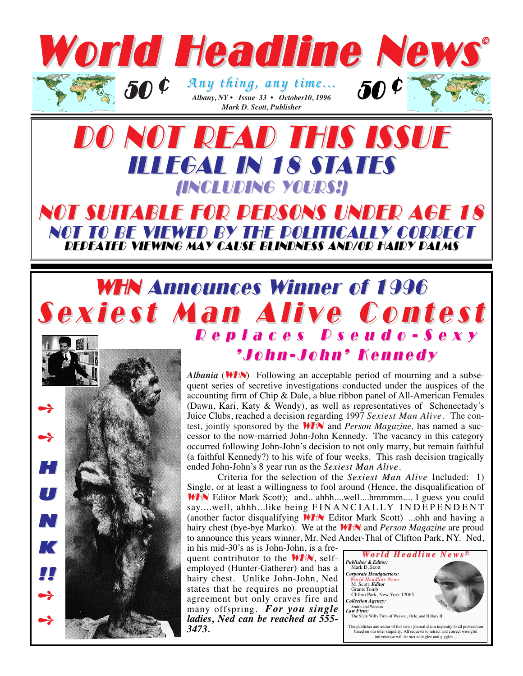

## DO NOT READ THIS ISSUE ILLEGAL IN 18 STATES (INCLUDING YOURS!)

#### NOT SUITABLE FOR PERSONS UNDER AGE 18 NOT TO BE VIEWED BY THE POLITICALLY CORRECT REPEATED VIEWING MAY CAUSE BLINDNESS AND/OR HAIRY PALMS

### WHN Announces Winner of 1996 Sexiest Man Alive Contest Replaces Pseudo-Sexy Replaces Pseudo-Sexy

➺ ➺ H U N K **1** ➺ ➺

*Albania* (**WHN**) Following an acceptable period of mourning and a subsequent series of secretive investigations conducted under the auspices of the accounting firm of Chip & Dale, a blue ribbon panel of All-American Females (Dawn, Kari, Katy & Wendy), as well as representatives of Schenectady's Juice Clubs, reached a decision regarding 1997 *Sexiest Man Alive.* The contest, jointly sponsored by the WHN and *Person Magazine,* has named a successor to the now-married John-John Kennedy. The vacancy in this category occurred following John-John's decision to not only marry, but remain faithful (a faithful Kennedy?) to his wife of four weeks. This rash decision tragically ended John-John's 8 year run as the *Sexiest Man Alive*.

'John-John' Kennedy 'John-John' Kennedy

Criteria for the selection of the *Sexiest Man Sexiest Alive* Included: 1) Single, or at least a willingness to fool around (Hence, the disqualification of WHN Editor Mark Scott); and.. ahhh....well....hmmmm.... I guess you could say....well, ahhh...like being FINANCIALLY INDEPENDENT (another factor disqualifying WHN Editor Mark Scott) ...ohh and having a hairy chest (bye-bye Marko). We at the WHN and *Person Magazine* are proud to announce this years winner, Mr. Ned Ander-Thal of Clifton Park, NY. Ned,

in his mid-30's as is John-John, is a frequent contributor to the  $WHN$ , selfemployed (Hunter-Gatherer) and has a hairy chest. Unlike John-John, Ned states that he requires no prenuptial agreement but only craves fire and many offspring. *For you single ladies, Ned can be reached at 555- 3473.*